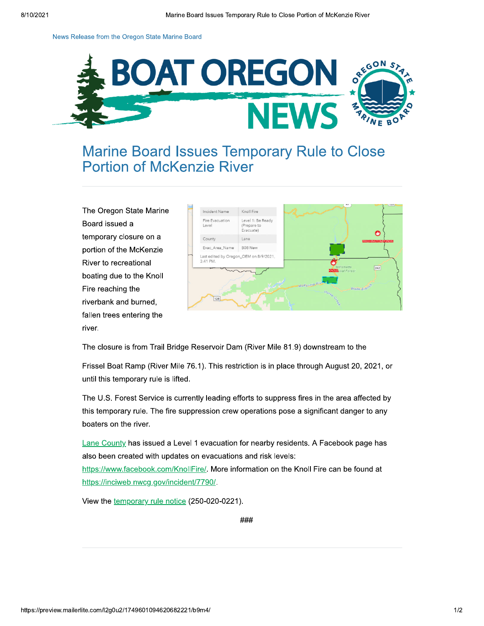## News Release from the Oregon State Marine Board



## **Marine Board Issues Temporary Rule to Close Portion of McKenzie River**

The Oregon State Marine Board issued a temporary closure on a portion of the McKenzie River to recreational boating due to the Knoll Fire reaching the riverbank and burned, fallen trees entering the river.



The closure is from Trail Bridge Reservoir Dam (River Mile 81.9) downstream to the

Frissel Boat Ramp (River Mile 76.1). This restriction is in place through August 20, 2021, or until this temporary rule is lifted.

The U.S. Forest Service is currently leading efforts to suppress fires in the area affected by this temporary rule. The fire suppression crew operations pose a significant danger to any boaters on the river.

Lane County has issued a Level 1 evacuation for nearby residents. A Facebook page has also been created with updates on evacuations and risk levels:

https://www.facebook.com/KnollFire/. More information on the Knoll Fire can be found at https://inciweb.nwcg.gov/incident/7790/.

View the temporary rule notice (250-020-0221).

###